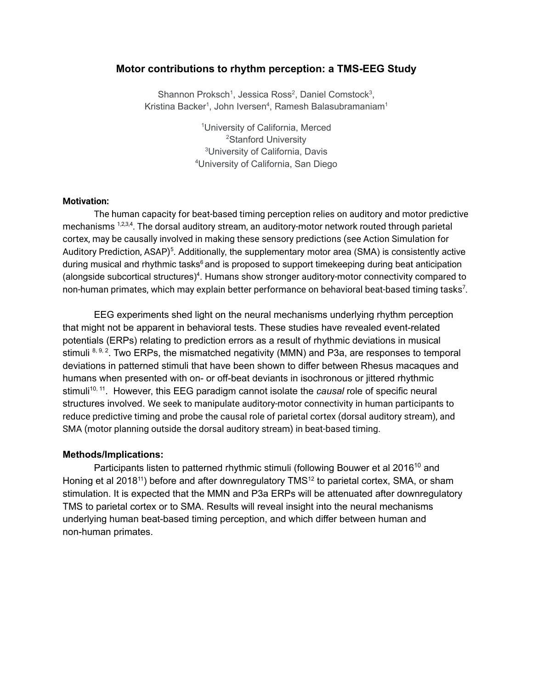## **Motor contributions to rhythm perception: a TMS-EEG Study**

Shannon Proksch<sup>1</sup>, Jessica Ross<sup>2</sup>, Daniel Comstock<sup>3</sup>, Kristina Backer<sup>1</sup>, John Iversen<sup>4</sup>, Ramesh Balasubramaniam<sup>1</sup>

> University of California, Merced Stanford University University of California, Davis University of California, San Diego

## **Motivation:**

The human capacity for beat-based timing perception relies on auditory and motor predictive mechanisms 1,2,3,4. The dorsal auditory stream, an auditory-motor network routed through parietal cortex, may be causally involved in making these sensory predictions (see Action Simulation for Auditory Prediction, ASAP)<sup>5</sup>. Additionally, the supplementary motor area (SMA) is consistently active during musical and rhythmic tasks<sup>6</sup> and is proposed to support timekeeping during beat anticipation (alongside subcortical structures)<sup>4</sup>. Humans show stronger auditory-motor connectivity compared to non-human primates, which may explain better performance on behavioral beat-based timing tasks<sup>7</sup>.

EEG experiments shed light on the neural mechanisms underlying rhythm perception that might not be apparent in behavioral tests. These studies have revealed event-related potentials (ERPs) relating to prediction errors as a result of rhythmic deviations in musical stimuli <sup>8, 9, 2</sup>. Two ERPs, the mismatched negativity (MMN) and P3a, are responses to temporal deviations in patterned stimuli that have been shown to differ between Rhesus macaques and humans when presented with on- or off-beat deviants in isochronous or jittered rhythmic stimuli<sup>10, 11</sup>. However, this EEG paradigm cannot isolate the *causal* role of specific neural structures involved. We seek to manipulate auditory-motor connectivity in human participants to reduce predictive timing and probe the causal role of parietal cortex (dorsal auditory stream), and SMA (motor planning outside the dorsal auditory stream) in beat-based timing.

## **Methods/Implications:**

Participants listen to patterned rhythmic stimuli (following Bouwer et al 2016<sup>10</sup> and Honing et al 2018<sup>11</sup>) before and after downregulatory TMS<sup>12</sup> to parietal cortex, SMA, or sham stimulation. It is expected that the MMN and P3a ERPs will be attenuated after downregulatory TMS to parietal cortex or to SMA. Results will reveal insight into the neural mechanisms underlying human beat-based timing perception, and which differ between human and non-human primates.